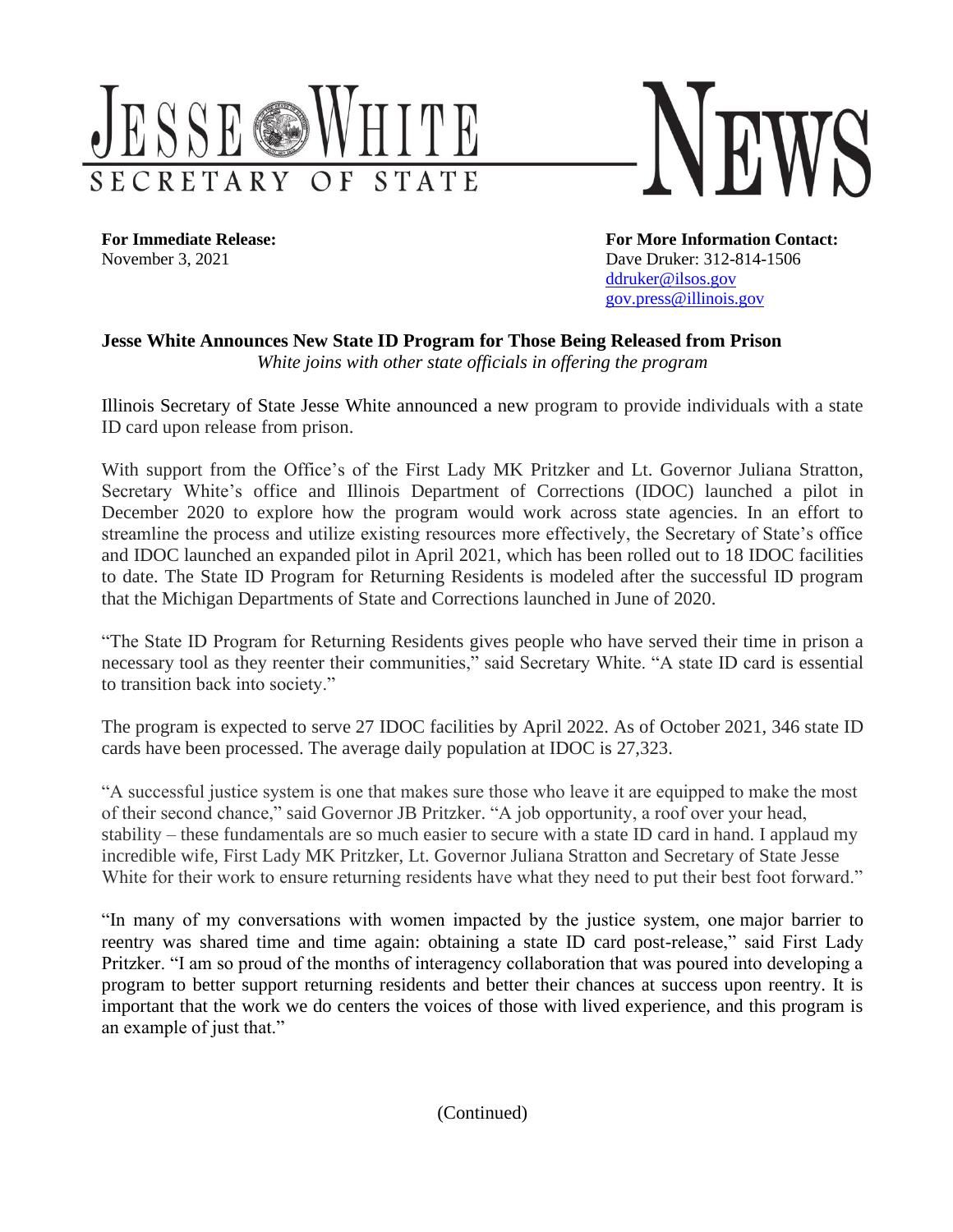

**For Immediate Release: For More Information Contact:** November 3, 2021 **Dave Druker: 312-814-1506** [ddruker@ilsos.gov](mailto:ddruker@ilsos.gov) [gov.press@illinois.gov](mailto:gov.press@illinois.gov)

## **Jesse White Announces New State ID Program for Those Being Released from Prison** *White joins with other state officials in offering the program*

Illinois Secretary of State Jesse White announced a new program to provide individuals with a state ID card upon release from prison.

With support from the Office's of the First Lady MK Pritzker and Lt. Governor Juliana Stratton, Secretary White's office and Illinois Department of Corrections (IDOC) launched a pilot in December 2020 to explore how the program would work across state agencies. In an effort to streamline the process and utilize existing resources more effectively, the Secretary of State's office and IDOC launched an expanded pilot in April 2021, which has been rolled out to 18 IDOC facilities to date. The State ID Program for Returning Residents is modeled after the successful ID program that the Michigan Departments of State and Corrections launched in June of 2020.

"The State ID Program for Returning Residents gives people who have served their time in prison a necessary tool as they reenter their communities," said Secretary White. "A state ID card is essential to transition back into society."

The program is expected to serve 27 IDOC facilities by April 2022. As of October 2021, 346 state ID cards have been processed. The average daily population at IDOC is 27,323.

"A successful justice system is one that makes sure those who leave it are equipped to make the most of their second chance," said Governor JB Pritzker. "A job opportunity, a roof over your head, stability – these fundamentals are so much easier to secure with a state ID card in hand. I applaud my incredible wife, First Lady MK Pritzker, Lt. Governor Juliana Stratton and Secretary of State Jesse White for their work to ensure returning residents have what they need to put their best foot forward."

"In many of my conversations with women impacted by the justice system, one major barrier to reentry was shared time and time again: obtaining a state ID card post-release," said First Lady Pritzker. "I am so proud of the months of interagency collaboration that was poured into developing a program to better support returning residents and better their chances at success upon reentry. It is important that the work we do centers the voices of those with lived experience, and this program is an example of just that."

(Continued)